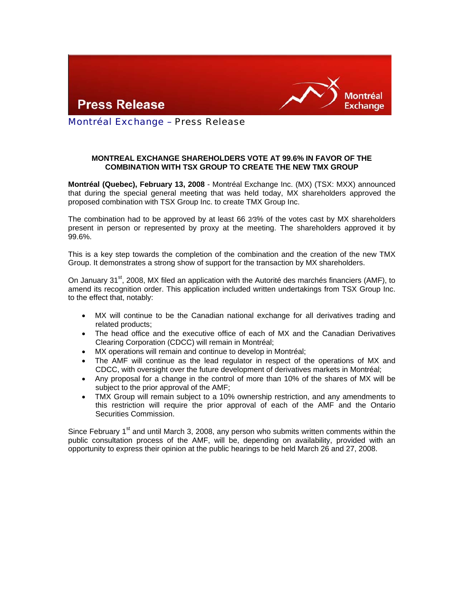



Montréal Exchange – Press Release

## **MONTREAL EXCHANGE SHAREHOLDERS VOTE AT 99.6% IN FAVOR OF THE COMBINATION WITH TSX GROUP TO CREATE THE NEW TMX GROUP**

**Montréal (Quebec), February 13, 2008** - Montréal Exchange Inc. (MX) (TSX: MXX) announced that during the special general meeting that was held today, MX shareholders approved the proposed combination with TSX Group Inc. to create TMX Group Inc.

The combination had to be approved by at least 66 2⁄3% of the votes cast by MX shareholders present in person or represented by proxy at the meeting. The shareholders approved it by 99.6%.

This is a key step towards the completion of the combination and the creation of the new TMX Group. It demonstrates a strong show of support for the transaction by MX shareholders.

On January 31<sup>st</sup>, 2008, MX filed an application with the Autorité des marchés financiers (AMF), to amend its recognition order. This application included written undertakings from TSX Group Inc. to the effect that, notably:

- MX will continue to be the Canadian national exchange for all derivatives trading and related products;
- The head office and the executive office of each of MX and the Canadian Derivatives Clearing Corporation (CDCC) will remain in Montréal;
- MX operations will remain and continue to develop in Montréal;
- The AMF will continue as the lead regulator in respect of the operations of MX and CDCC, with oversight over the future development of derivatives markets in Montréal;
- Any proposal for a change in the control of more than 10% of the shares of MX will be subject to the prior approval of the AMF;
- TMX Group will remain subject to a 10% ownership restriction, and any amendments to this restriction will require the prior approval of each of the AMF and the Ontario Securities Commission.

Since February  $1<sup>st</sup>$  and until March 3, 2008, any person who submits written comments within the public consultation process of the AMF, will be, depending on availability, provided with an opportunity to express their opinion at the public hearings to be held March 26 and 27, 2008.